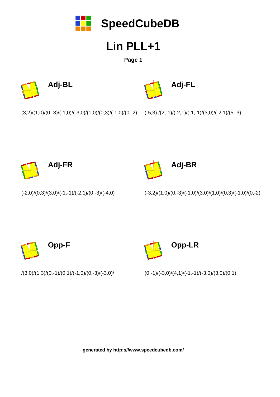

**Page 1**







 $(3,2)/(1,0)/(0,-3)/(-1,0)/(-3,0)/(1,0)/(0,3)/(-1,0)/(0,-2)$ 

 $(-5,3)/(2,-1)/(-2,1)/(-1,-1)/(3,0)/(-2,1)/(5,-3)$ 





 $(-3,2)/(1,0)/(0,-3)/(-1,0)/(3,0)/(1,0)/(0,3)/(-1,0)/(0,-2)$ 



/(3,0)/(1,3)/(0,-1)/(0,1)/(-1,0)/(0,-3)/(-3,0)/

 $(-2,0)/(0,3)/(3,0)/(-1,-1)/(-2,1)/(0,-3)/(-4,0)$ 

**Opp-LR**

 $(0,-1)/(-3,0)/(4,1)/(-1,-1)/(-3,0)/(3,0)/(0,1)$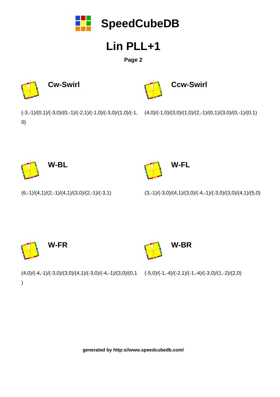

**Page 2**







0)

(-3,-1)/(0,1)/(-3,0)/(0,-1)/(-2,1)/(-1,0)/(-3,0)/(1,0)/(-1, (4,0)/(-1,0)/(3,0)/(1,0)/(2,-1)/(0,1)/(3,0)/(0,-1)/(0,1)



**W-FL**

 $(6,-1)/(4,1)/(2,-1)/(4,1)/(3,0)/(2,-1)/(-3,1)$ 

 $(3,-1)/(-3,0)/(4,1)/(3,0)/(-4,-1)/(-3,0)/(3,0)/(4,1)/(5,0)$ 



 $(4,0)/(-4,-1)/(-3,0)/(3,0)/(4,1)/(-3,0)/(-4,-1)/(3,0)/(0,1)$ )

 $(-5,0)/(-1,-4)/(-2,1)/(-1,-4)/(-3,0)/(1,-2)/(2,0)$ 

**W-BR**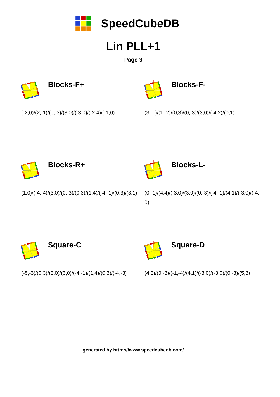

**Page 3**





 $(-2,0)/(2,-1)/(0,-3)/(3,0)/(-3,0)/(-2,4)/(-1,0)$ 

 $(3,-1)/(1,-2)/(0,3)/(0,-3)/(3,0)/(-4,2)/(0,1)$ 





```
Blocks-L-
```
 $(1,0)/(-4,-4)/(3,0)/(0,-3)/(0,3)/(1,4)/(-4,-1)/(0,3)/(3,1)$ 

 $(0,-1)/(4,4)/(-3,0)/(3,0)/(0,-3)/(-4,-1)/(4,1)/(-3,0)/(-4,$ 0)



 $(-5,-3)/(0,3)/(3,0)/(3,0)/(-4,-1)/(1,4)/(0,3)/(-4,-3)$ 

 $(4,3)/(0,-3)/(-1,-4)/(4,1)/(-3,0)/(-3,0)/(0,-3)/(5,3)$ 

**Square-D**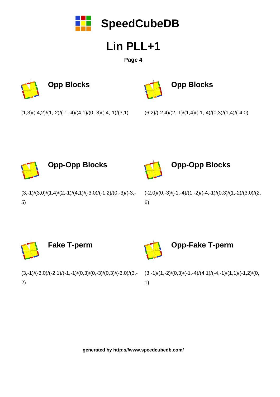

**Page 4**



**Opp Blocks**

 $(6,2)/(-2,4)/(2,-1)/(1,4)/(-1,-4)/(0,3)/(1,4)/(-4,0)$ 





**Opp-Opp Blocks**

 $(3,-1)/(3,0)/(1,4)/(2,-1)/(4,1)/(-3,0)/(-1,2)/(0,-3)/(-3,-1)$ 5)

(-2,0)/(0,-3)/(-1,-4)/(1,-2)/(-4,-1)/(0,3)/(1,-2)/(3,0)/(2, 6)



 $(3,-1)/(-3,0)/(-2,1)/(-1,-1)/(0,3)/(0,-3)/(0,3)/(-3,0)/(3,-1)$ 2)

 $(3,-1)/(1,-2)/(0,3)/(-1,-4)/(4,1)/(-4,-1)/(1,1)/(-1,2)/(0,$ 1)

**Opp-Fake T-perm**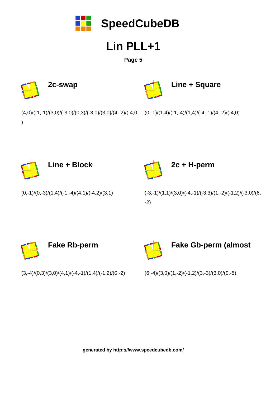

**Page 5**





 $(0,-1)/(0,-3)/(1,4)/(-1,-4)/(4,1)/(-4,2)/(3,1)$ 

(-3,-1)/(1,1)/(3,0)/(-4,-1)/(-3,3)/(1,-2)/(-1,2)/(-3,0)/(6, -2)

**Fake Gb-perm (almost**



 $(3,-4)/(0,3)/(3,0)/(4,1)/(-4,-1)/(1,4)/(-1,2)/(0,-2)$ 

 $(6,-4)/(3,0)/(1,-2)/(-1,2)/(3,-3)/(3,0)/(0,-5)$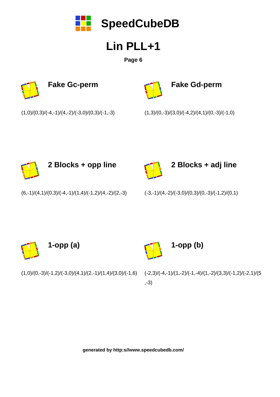

**Page 6**





**Fake Gd-perm**

 $(1,0)/(0,3)/(-4,-1)/(4,-2)/(-3,0)/(0,3)/(-1,-3)$ 





**2 Blocks + opp line**



**2 Blocks + adj line**

 $(6,-1)/(4,1)/(0,3)/(-4,-1)/(1,4)/(-1,2)/(4,-2)/(2,-3)$ 

 $(-3,-1)/(4,-2)/(-3,0)/(0,3)/(0,-3)/(-1,2)/(0,1)$ 

**1-opp (b)**





(-2,3)/(-4,-1)/(1,-2)/(-1,-4)/(1,-2)/(3,3)/(-1,2)/(-2,1)/(5 ,-3)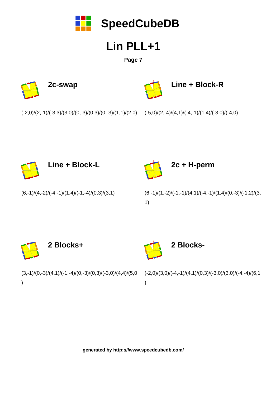

**Page 7**

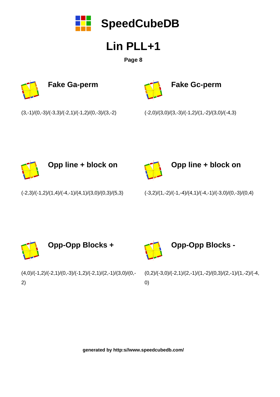

**Page 8**





**Fake Gc-perm**

 $(3,-1)/(0,-3)/(-3,3)/(-2,1)/(-1,2)/(0,-3)/(3,-2)$ 





**Opp line + block on** 



**Opp line + block on** 

 $(-2,3)/(-1,2)/(1,4)/(-4,-1)/(4,1)/(3,0)/(0,3)/(5,3)$ 

 $(-3,2)/(1,-2)/(-1,-4)/(4,1)/(-4,-1)/(-3,0)/(0,-3)/(0,4)$ 



 $(4,0)/(-1,2)/(-2,1)/(0,-3)/(-1,2)/(-2,1)/(2,-1)/(3,0)/(0,-1)$ 2)

 $(0,2)/(-3,0)/(-2,1)/(2,-1)/(1,-2)/(0,3)/(2,-1)/(1,-2)/(-4,$ 0)

**Opp-Opp Blocks -**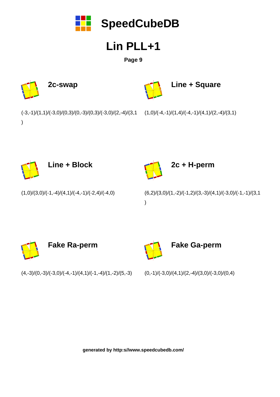

#### **Page 9**



**Line + Block**



**2c + H-perm**

 $(1,0)/(3,0)/(-1,-4)/(4,1)/(-4,-1)/(-2,4)/(-4,0)$ 

 $(6,2)/(3,0)/(1,-2)/(-1,2)/(3,-3)/(4,1)/(-3,0)/(-1,-1)/(3,1)$ )



 $(4,-3)/(0,-3)/(-3,0)/(-4,-1)/(4,1)/(-1,-4)/(1,-2)/(5,-3)$ 

 $(0,-1)/(-3,0)/(4,1)/(2,-4)/(3,0)/(-3,0)/(0,4)$ 

**Fake Ga-perm**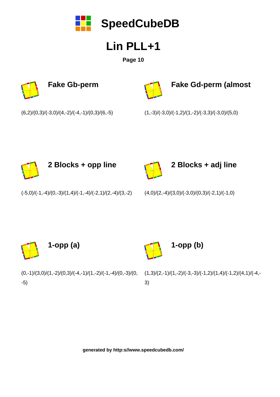

**Page 10**





**Fake Gd-perm (almost**

 $(6,2)/(0,3)/(-3,0)/(4,-2)/(-4,-1)/(0,3)/(6,-5)$ 





**2 Blocks + opp line**



**2 Blocks + adj line**

 $(-5,0)/(-1,-4)/(0,-3)/(1,4)/(-1,-4)/(-2,1)/(2,-4)/(3,-2)$ 

 $(4,0)/(2,-4)/(3,0)/(-3,0)/(0,3)/(-2,1)/(-1,0)$ 





 $(0,-1)/(3,0)/(1,-2)/(0,3)/(-4,-1)/(1,-2)/(-1,-4)/(0,-3)/(0,$ -5)

 $(1,3)/(2,-1)/(1,-2)/(-3,-3)/(-1,2)/(1,4)/(-1,2)/(4,1)/(-4,-$ 3)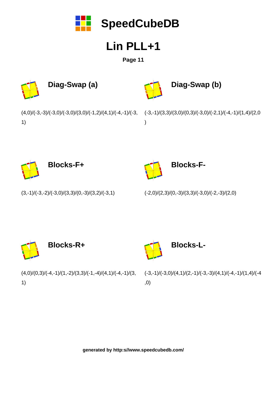

**Page 11**



 $(3,-1)/(-3,-2)/(-3,0)/(3,3)/(0,-3)/(3,2)/(-3,1)$ 

 $(-2,0)/(2,3)/(0,-3)/(3,3)/(-3,0)/(-2,-3)/(2,0)$ 





 $(4,0)/(0,3)/(-4,-1)/(1,-2)/(3,3)/(-1,-4)/(4,1)/(-4,-1)/(3,$ 1)

(-3,-1)/(-3,0)/(4,1)/(2,-1)/(-3,-3)/(4,1)/(-4,-1)/(1,4)/(-4 ,0)